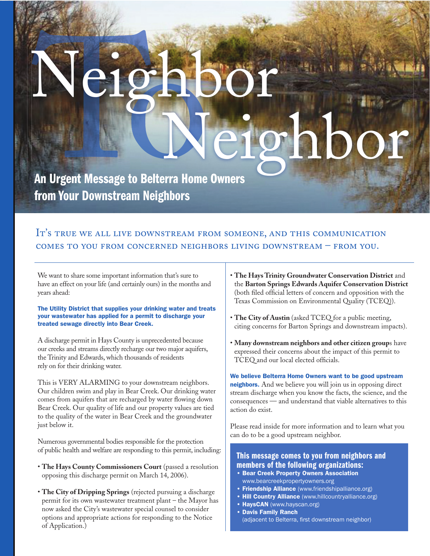# **Nelle State OCAL**<br>CONTROLLER Neighbor<br>Neigh<br>An Urgent Message to Belterra Home Owners Neighbor

An Urgent Message to Belterra Home Owners Ow from Your Downstream Neighbors

# IT'S TRUE WE ALL LIVE DOWNSTREAM FROM SOMEONE, AND THIS COMMUNICATION COMES TO YOU FROM CONCERNED NEIGHBORS LIVING DOWNSTREAM - FROM YOU.

We want to share some important information that's sure to have an effect on your life (and certainly ours) in the months and years ahead:

#### The Utility District that supplies your drinking water and treats your wastewater has applied for a permit to discharge your treated sewage directly into Bear Creek.

A discharge permit in Hays County is unprecedented because our creeks and streams directly recharge our two major aquifers, the Trinity and Edwards, which thousands of residents rely on for their drinking water.

This is VERY ALARMING to your downstream neighbors. Our children swim and play in Bear Creek. Our drinking water comes from aquifers that are recharged by water flowing down Bear Creek. Our quality of life and our property values are tied to the quality of the water in Bear Creek and the groundwater just below it.

Numerous governmental bodies responsible for the protection of public health and welfare are responding to this permit, including:

- **The Hays County Commissioners Court** (passed a resolution opposing this discharge permit on March 14, 2006).
- **The City of Dripping Springs** (rejected pursuing a discharge permit for its own wastewater treatment plant – the Mayor has now asked the City's wastewater special counsel to consider options and appropriate actions for responding to the Notice of Application.)
- **The Hays Trinity Groundwater Conservation District** and the **Barton Springs Edwards Aquifer Conservation District**  (both filed official letters of concern and opposition with the Texas Commission on Environmental Quality (TCEQ)).
- **The City of Austin** (asked TCEQ for a public meeting, citing concerns for Barton Springs and downstream impacts).
- **Many downstream neighbors and other citizen group**s have expressed their concerns about the impact of this permit to TCEQ and our local elected officials.

We believe Belterra Home Owners want to be good upstream neighbors. And we believe you will join us in opposing direct stream discharge when you know the facts, the science, and the consequences — and understand that viable alternatives to this action do exist.

Please read inside for more information and to learn what you can do to be a good upstream neighbor.

### This message comes to you from neighbors and members of the following organizations:

- Bear Creek Property Owners Association www.bearcreekpropertyowners.org
- **Friendship Alliance** (www.friendshipalliance.org)
- **Hill Country Alliance** (www.hillcountryalliance.org)
- HaysCAN (www.hayscan.org)
- Davis Family Ranch (adjacent to Belterra, first downstream neighbor)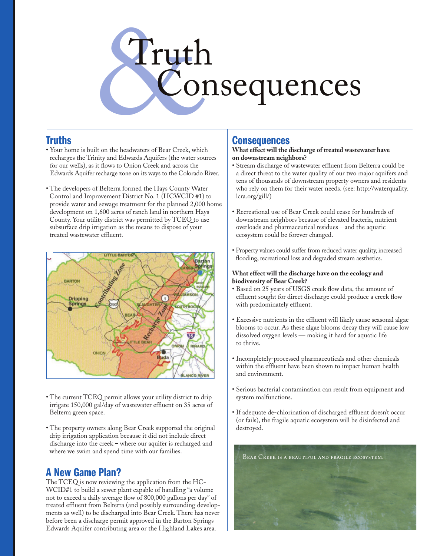# Truth Consequences

### **Truths**

- Your home is built on the headwaters of Bear Creek, which recharges the Trinity and Edwards Aquifers (the water sources for our wells), as it flows to Onion Creek and across the Edwards Aquifer recharge zone on its ways to the Colorado River.
- The developers of Belterra formed the Hays County Water Control and Improvement District No. 1 (HCWCID #1) to provide water and sewage treatment for the planned 2,000 home development on 1,600 acres of ranch land in northern Hays County. Your utility district was permitted by TCEQ to use subsurface drip irrigation as the means to dispose of your treated wastewater effluent.



- The current TCEQ permit allows your utility district to drip irrigate 150,000 gal/day of wastewater effluent on 35 acres of Belterra green space.
- The property owners along Bear Creek supported the original drip irrigation application because it did not include direct discharge into the creek – where our aquifer is recharged and where we swim and spend time with our families.

# A New Game Plan?

The TCEQ is now reviewing the application from the HC-WCID#1 to build a sewer plant capable of handling "a volume not to exceed a daily average flow of 800,000 gallons per day" of treated effluent from Belterra (and possibly surrounding developments as well) to be discharged into Bear Creek. There has never before been a discharge permit approved in the Barton Springs Edwards Aquifer contributing area or the Highland Lakes area.

# **Consequences**

#### **What effect will the discharge of treated wastewater have on downstream neighbors?**

- Stream discharge of wastewater effluent from Belterra could be a direct threat to the water quality of our two major aquifers and tens of thousands of downstream property owners and residents who rely on them for their water needs. (see: http://waterquality. lcra.org/gill/)
- Recreational use of Bear Creek could cease for hundreds of downstream neighbors because of elevated bacteria, nutrient overloads and pharmaceutical residues—and the aquatic ecosystem could be forever changed.
- Property values could suffer from reduced water quality, increased flooding, recreational loss and degraded stream aesthetics.

#### **What effect will the discharge have on the ecology and biodiversity of Bear Creek?**

- Based on 25 years of USGS creek flow data, the amount of effluent sought for direct discharge could produce a creek flow with predominately effluent.
- Excessive nutrients in the effluent will likely cause seasonal algae blooms to occur. As these algae blooms decay they will cause low dissolved oxygen levels — making it hard for aquatic life to thrive.
- Incompletely-processed pharmaceuticals and other chemicals within the effluent have been shown to impact human health and environment.
- Serious bacterial contamination can result from equipment and system malfunctions.
- If adequate de-chlorination of discharged effluent doesn't occur (or fails), the fragile aquatic ecosystem will be disinfected and destroyed.

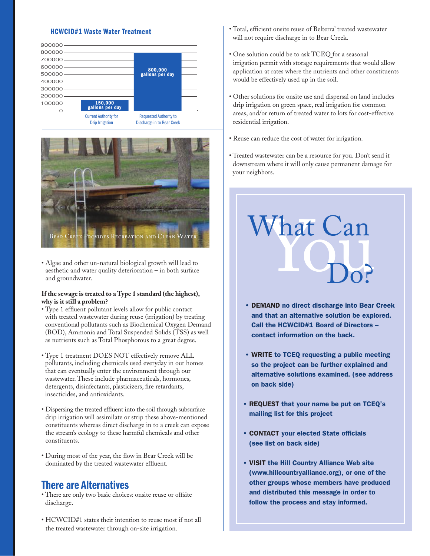#### HCWCID#1 Waste Water Treatment





• Algae and other un-natural biological growth will lead to aesthetic and water quality deterioration – in both surface and groundwater.

#### **If the sewage is treated to a Type 1 standard (the highest), why is it still a problem?**

- Type 1 effluent pollutant levels allow for public contact with treated wastewater during reuse (irrigation) by treating conventional pollutants such as Biochemical Oxygen Demand (BOD), Ammonia and Total Suspended Solids (TSS) as well as nutrients such as Total Phosphorous to a great degree.
- Type 1 treatment DOES NOT effectively remove ALL pollutants, including chemicals used everyday in our homes that can eventually enter the environment through our wastewater. These include pharmaceuticals, hormones, detergents, disinfectants, plasticizers, fire retardants, insecticides, and antioxidants.
- Dispersing the treated effluent into the soil through subsurface drip irrigation will assimilate or strip these above-mentioned constituents whereas direct discharge in to a creek can expose the stream's ecology to these harmful chemicals and other constituents.
- During most of the year, the flow in Bear Creek will be dominated by the treated wastewater effluent.

## There are Alternatives

- There are only two basic choices: onsite reuse or offsite discharge.
- HCWCID#1 states their intention to reuse most if not all the treated wastewater through on-site irrigation.
- Total, efficient onsite reuse of Belterra' treated wastewater will not require discharge in to Bear Creek.
- One solution could be to ask TCEQ for a seasonal irrigation permit with storage requirements that would allow application at rates where the nutrients and other constituents would be effectively used up in the soil.
- Other solutions for onsite use and dispersal on land includes drip irrigation on green space, real irrigation for common areas, and/or return of treated water to lots for cost-effective residential irrigation.
- Reuse can reduce the cost of water for irrigation.
- Treated wastewater can be a resource for you. Don't send it downstream where it will only cause permanent damage for your neighbors.

What Can Do?

- DEMAND no direct discharge into Bear Creek and that an alternative solution be explored. Call the HCWCID#1 Board of Directors – contact information on the back.
- WRITE to TCEQ requesting a public meeting so the project can be further explained and alternative solutions examined. (see address on back side)
- REQUEST that your name be put on TCEQ's mailing list for this project
- CONTACT your elected State officials (see list on back side)
- VISIT the Hill Country Alliance Web site (www.hillcountryalliance.org), or one of the other groups whose members have produced and distributed this message in order to follow the process and stay informed.